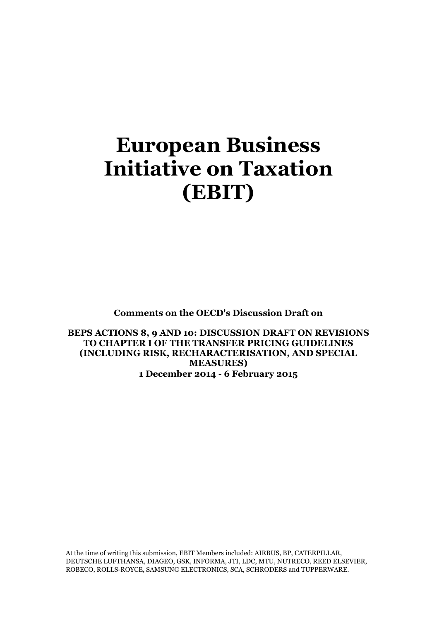# **European Business Initiative on Taxation (EBIT)**

**Comments on the OECD's Discussion Draft on**

**BEPS ACTIONS 8, 9 AND 10: DISCUSSION DRAFT ON REVISIONS TO CHAPTER I OF THE TRANSFER PRICING GUIDELINES (INCLUDING RISK, RECHARACTERISATION, AND SPECIAL MEASURES) 1 December 2014 - 6 February 2015**

At the time of writing this submission, EBIT Members included: AIRBUS, BP, CATERPILLAR, DEUTSCHE LUFTHANSA, DIAGEO, GSK, INFORMA, JTI, LDC, MTU, NUTRECO, REED ELSEVIER, ROBECO, ROLLS-ROYCE, SAMSUNG ELECTRONICS, SCA, SCHRODERS and TUPPERWARE.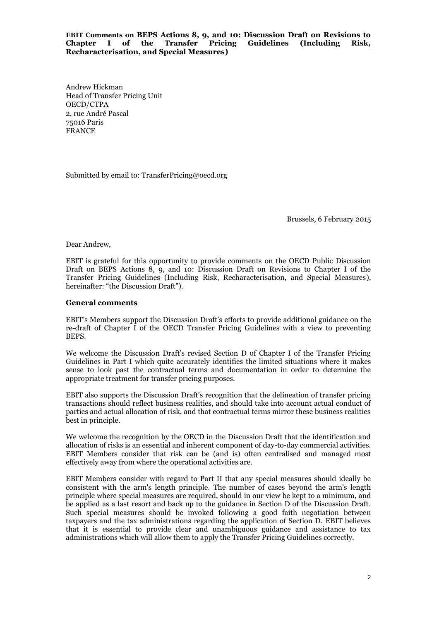**EBIT Comments on BEPS Actions 8, 9, and 10: Discussion Draft on Revisions to Chapter I of the Transfer Pricing Guidelines (Including Risk, Recharacterisation, and Special Measures)**

Andrew Hickman Head of Transfer Pricing Unit OECD/CTPA 2, rue André Pascal 75016 Paris FRANCE

Submitted by email to: TransferPricing@oecd.org

Brussels, 6 February 2015

Dear Andrew,

EBIT is grateful for this opportunity to provide comments on the OECD Public Discussion Draft on BEPS Actions 8, 9, and 10: Discussion Draft on Revisions to Chapter I of the Transfer Pricing Guidelines (Including Risk, Recharacterisation, and Special Measures), hereinafter: "the Discussion Draft").

#### **General comments**

EBIT's Members support the Discussion Draft's efforts to provide additional guidance on the re-draft of Chapter I of the OECD Transfer Pricing Guidelines with a view to preventing BEPS.

We welcome the Discussion Draft's revised Section D of Chapter I of the Transfer Pricing Guidelines in Part I which quite accurately identifies the limited situations where it makes sense to look past the contractual terms and documentation in order to determine the appropriate treatment for transfer pricing purposes.

EBIT also supports the Discussion Draft's recognition that the delineation of transfer pricing transactions should reflect business realities, and should take into account actual conduct of parties and actual allocation of risk, and that contractual terms mirror these business realities best in principle.

We welcome the recognition by the OECD in the Discussion Draft that the identification and allocation of risks is an essential and inherent component of day-to-day commercial activities. EBIT Members consider that risk can be (and is) often centralised and managed most effectively away from where the operational activities are.

EBIT Members consider with regard to Part II that any special measures should ideally be consistent with the arm's length principle. The number of cases beyond the arm's length principle where special measures are required, should in our view be kept to a minimum, and be applied as a last resort and back up to the guidance in Section D of the Discussion Draft. Such special measures should be invoked following a good faith negotiation between taxpayers and the tax administrations regarding the application of Section D. EBIT believes that it is essential to provide clear and unambiguous guidance and assistance to tax administrations which will allow them to apply the Transfer Pricing Guidelines correctly.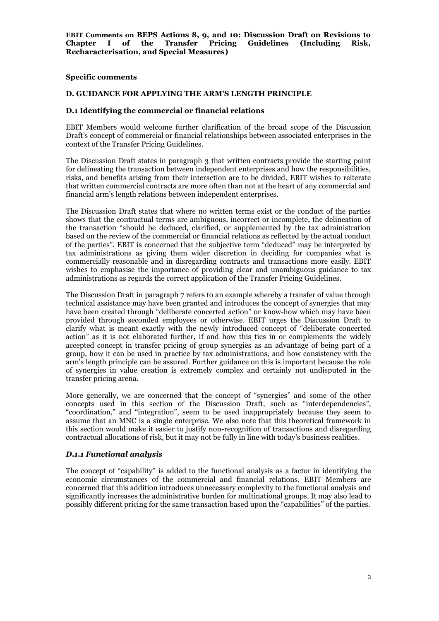### **Specific comments**

#### **D. GUIDANCE FOR APPLYING THE ARM'S LENGTH PRINCIPLE**

### **D.1 Identifying the commercial or financial relations**

EBIT Members would welcome further clarification of the broad scope of the Discussion Draft's concept of commercial or financial relationships between associated enterprises in the context of the Transfer Pricing Guidelines.

The Discussion Draft states in paragraph 3 that written contracts provide the starting point for delineating the transaction between independent enterprises and how the responsibilities, risks, and benefits arising from their interaction are to be divided. EBIT wishes to reiterate that written commercial contracts are more often than not at the heart of any commercial and financial arm's length relations between independent enterprises.

The Discussion Draft states that where no written terms exist or the conduct of the parties shows that the contractual terms are ambiguous, incorrect or incomplete, the delineation of the transaction "should be deduced, clarified, or supplemented by the tax administration based on the review of the commercial or financial relations as reflected by the actual conduct of the parties". EBIT is concerned that the subjective term "deduced" may be interpreted by tax administrations as giving them wider discretion in deciding for companies what is commercially reasonable and in disregarding contracts and transactions more easily. EBIT wishes to emphasise the importance of providing clear and unambiguous guidance to tax administrations as regards the correct application of the Transfer Pricing Guidelines.

The Discussion Draft in paragraph 7 refers to an example whereby a transfer of value through technical assistance may have been granted and introduces the concept of synergies that may have been created through "deliberate concerted action" or know-how which may have been provided through seconded employees or otherwise. EBIT urges the Discussion Draft to clarify what is meant exactly with the newly introduced concept of "deliberate concerted action" as it is not elaborated further, if and how this ties in or complements the widely accepted concept in transfer pricing of group synergies as an advantage of being part of a group, how it can be used in practice by tax administrations, and how consistency with the arm's length principle can be assured. Further guidance on this is important because the role of synergies in value creation is extremely complex and certainly not undisputed in the transfer pricing arena.

More generally, we are concerned that the concept of "synergies" and some of the other concepts used in this section of the Discussion Draft, such as "interdependencies", "coordination," and "integration", seem to be used inappropriately because they seem to assume that an MNC is a single enterprise. We also note that this theoretical framework in this section would make it easier to justify non-recognition of transactions and disregarding contractual allocations of risk, but it may not be fully in line with today's business realities.

# *D.1.1 Functional analysis*

The concept of "capability" is added to the functional analysis as a factor in identifying the economic circumstances of the commercial and financial relations. EBIT Members are concerned that this addition introduces unnecessary complexity to the functional analysis and significantly increases the administrative burden for multinational groups. It may also lead to possibly different pricing for the same transaction based upon the "capabilities" of the parties.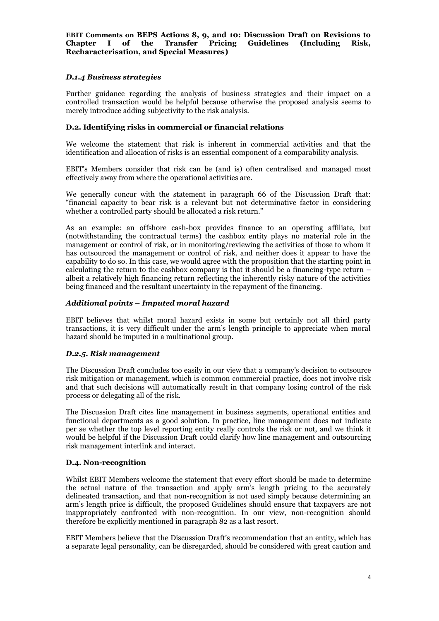# *D.1.4 Business strategies*

Further guidance regarding the analysis of business strategies and their impact on a controlled transaction would be helpful because otherwise the proposed analysis seems to merely introduce adding subjectivity to the risk analysis.

## **D.2. Identifying risks in commercial or financial relations**

We welcome the statement that risk is inherent in commercial activities and that the identification and allocation of risks is an essential component of a comparability analysis.

EBIT's Members consider that risk can be (and is) often centralised and managed most effectively away from where the operational activities are.

We generally concur with the statement in paragraph 66 of the Discussion Draft that: "financial capacity to bear risk is a relevant but not determinative factor in considering whether a controlled party should be allocated a risk return."

As an example: an offshore cash-box provides finance to an operating affiliate, but (notwithstanding the contractual terms) the cashbox entity plays no material role in the management or control of risk, or in monitoring/reviewing the activities of those to whom it has outsourced the management or control of risk, and neither does it appear to have the capability to do so. In this case, we would agree with the proposition that the starting point in calculating the return to the cashbox company is that it should be a financing-type return – albeit a relatively high financing return reflecting the inherently risky nature of the activities being financed and the resultant uncertainty in the repayment of the financing.

## *Additional points – Imputed moral hazard*

EBIT believes that whilst moral hazard exists in some but certainly not all third party transactions, it is very difficult under the arm's length principle to appreciate when moral hazard should be imputed in a multinational group.

# *D.2.5. Risk management*

The Discussion Draft concludes too easily in our view that a company's decision to outsource risk mitigation or management, which is common commercial practice, does not involve risk and that such decisions will automatically result in that company losing control of the risk process or delegating all of the risk.

The Discussion Draft cites line management in business segments, operational entities and functional departments as a good solution. In practice, line management does not indicate per se whether the top level reporting entity really controls the risk or not, and we think it would be helpful if the Discussion Draft could clarify how line management and outsourcing risk management interlink and interact.

## **D.4. Non-recognition**

Whilst EBIT Members welcome the statement that every effort should be made to determine the actual nature of the transaction and apply arm's length pricing to the accurately delineated transaction, and that non-recognition is not used simply because determining an arm's length price is difficult, the proposed Guidelines should ensure that taxpayers are not inappropriately confronted with non-recognition. In our view, non-recognition should therefore be explicitly mentioned in paragraph 82 as a last resort.

EBIT Members believe that the Discussion Draft's recommendation that an entity, which has a separate legal personality, can be disregarded, should be considered with great caution and